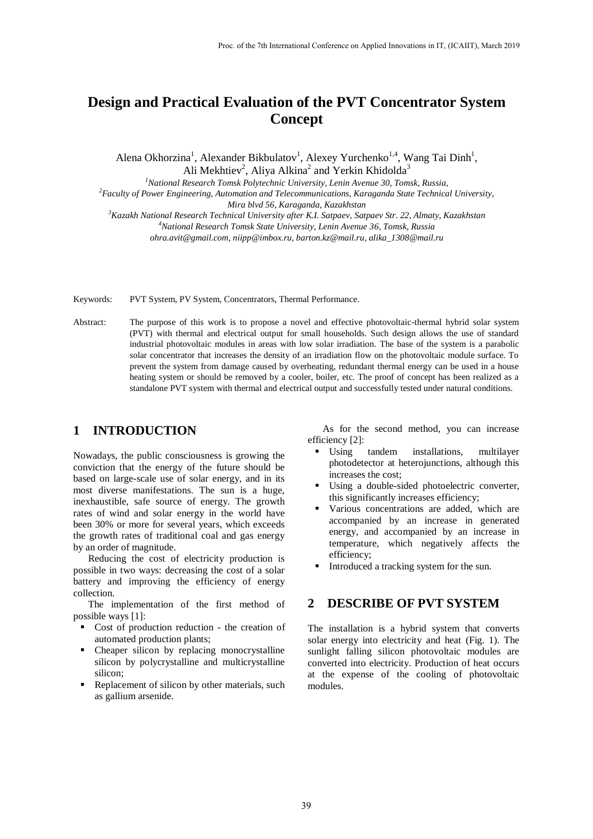# **Design and Practical Evaluation of the PVT Concentrator System Concept**

Alena Okhorzina<sup>1</sup>, Alexander Bikbulatov<sup>1</sup>, Alexey Yurchenko<sup>1,4</sup>, Wang Tai Dinh<sup>1</sup>, Ali Mekhtiev<sup>2</sup>, Aliya Alkina<sup>2</sup> and Yerkin Khidolda<sup>3</sup>

*<sup>1</sup>National Research Tomsk Polytechnic University, Lenin Avenue 30, Tomsk, Russia,*

*<sup>2</sup>Faculty of Power Engineering, Automation and Telecommunications, Karaganda State Technical University, Mira blvd 56, Karaganda, Kazakhstan*

*<sup>3</sup>Kazakh National Research Technical University after K.I. Satpaev, Satpaev Str. 22, Almaty, Kazakhstan <sup>4</sup>National Research Tomsk State University, Lenin Avenue 36, Tomsk, Russia*

*ohra.avit@gmail.com, niipp@imbox.ru, barton.kz@mail.ru, alika\_1308@mail.ru*

Keywords: PVT System, PV System, Concentrators, Thermal Performance.

Abstract: The purpose of this work is to propose a novel and effective photovoltaic-thermal hybrid solar system (PVT) with thermal and electrical output for small households. Such design allows the use of standard industrial photovoltaic modules in areas with low solar irradiation. The base of the system is a parabolic solar concentrator that increases the density of an irradiation flow on the photovoltaic module surface. To prevent the system from damage caused by overheating, redundant thermal energy can be used in a house heating system or should be removed by a cooler, boiler, etc. The proof of concept has been realized as a standalone PVT system with thermal and electrical output and successfully tested under natural conditions.

## **1 INTRODUCTION**

Nowadays, the public consciousness is growing the conviction that the energy of the future should be based on large-scale use of solar energy, and in its most diverse manifestations. The sun is a huge, inexhaustible, safe source of energy. The growth rates of wind and solar energy in the world have been 30% or more for several years, which exceeds the growth rates of traditional coal and gas energy by an order of magnitude.

Reducing the cost of electricity production is possible in two ways: decreasing the cost of a solar battery and improving the efficiency of energy collection.

The implementation of the first method of possible ways [1]:

- Cost of production reduction the creation of automated production plants;
- Cheaper silicon by replacing monocrystalline silicon by polycrystalline and multicrystalline silicon;
- Replacement of silicon by other materials, such as gallium arsenide.

As for the second method, you can increase efficiency [2]:

- Using tandem installations, multilayer photodetector at heterojunctions, although this increases the cost;
- Using a double-sided photoelectric converter, this significantly increases efficiency;
- Various concentrations are added, which are accompanied by an increase in generated energy, and accompanied by an increase in temperature, which negatively affects the efficiency;
- Introduced a tracking system for the sun.

#### **2 DESCRIBE OF PVT SYSTEM**

The installation is a hybrid system that converts solar energy into electricity and heat (Fig. 1). The sunlight falling silicon photovoltaic modules are converted into electricity. Production of heat occurs at the expense of the cooling of photovoltaic modules.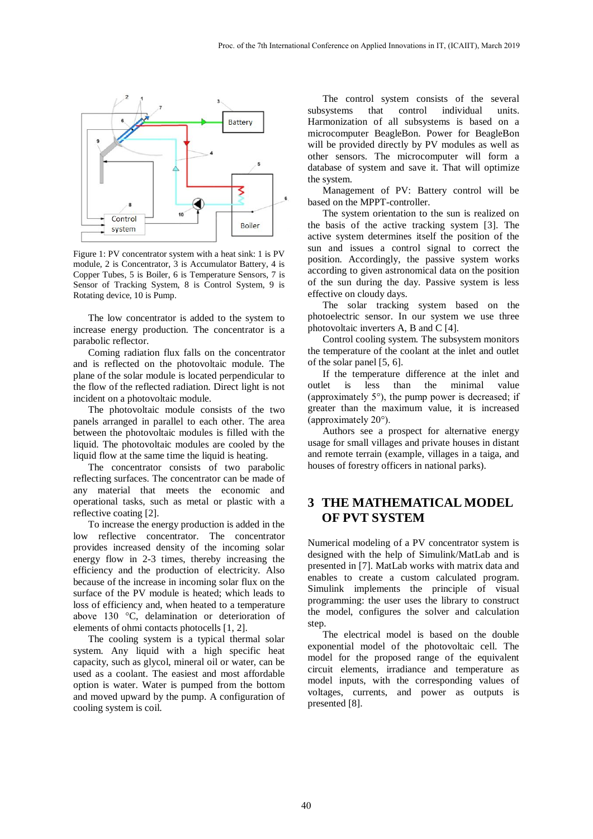

Figure 1: PV concentrator system with a heat sink: 1 is PV module, 2 is Concentrator, 3 is Accumulator Battery, 4 is Copper Tubes, 5 is Boiler, 6 is Temperature Sensors, 7 is Sensor of Tracking System, 8 is Control System, 9 is Rotating device, 10 is Pump.

The low concentrator is added to the system to increase energy production. The concentrator is a parabolic reflector.

Coming radiation flux falls on the concentrator and is reflected on the photovoltaic module. The plane of the solar module is located perpendicular to the flow of the reflected radiation. Direct light is not incident on a photovoltaic module.

The photovoltaic module consists of the two panels arranged in parallel to each other. The area between the photovoltaic modules is filled with the liquid. The photovoltaic modules are cooled by the liquid flow at the same time the liquid is heating.

The concentrator consists of two parabolic reflecting surfaces. The concentrator can be made of any material that meets the economic and operational tasks, such as metal or plastic with a reflective coating [2].

To increase the energy production is added in the low reflective concentrator. The concentrator provides increased density of the incoming solar energy flow in 2-3 times, thereby increasing the efficiency and the production of electricity. Also because of the increase in incoming solar flux on the surface of the PV module is heated; which leads to loss of efficiency and, when heated to a temperature above 130 °C, delamination or deterioration of elements of ohmi contacts photocells [1, 2].

The cooling system is a typical thermal solar system. Any liquid with a high specific heat capacity, such as glycol, mineral oil or water, can be used as a coolant. The easiest and most affordable option is water. Water is pumped from the bottom and moved upward by the pump. A configuration of cooling system is coil.

The control system consists of the several subsystems that control individual units. Harmonization of all subsystems is based on a microcomputer BeagleBon. Power for BeagleBon will be provided directly by PV modules as well as other sensors. The microcomputer will form a database of system and save it. That will optimize the system.

Management of PV: Battery control will be based on the MPPT-controller.

The system orientation to the sun is realized on the basis of the active tracking system [3]. The active system determines itself the position of the sun and issues a control signal to correct the position. Accordingly, the passive system works according to given astronomical data on the position of the sun during the day. Passive system is less effective on cloudy days.

The solar tracking system based on the photoelectric sensor. In our system we use three photovoltaic inverters A, B and C [4].

Control cooling system. The subsystem monitors the temperature of the coolant at the inlet and outlet of the solar panel [5, 6].

If the temperature difference at the inlet and outlet is less than the minimal value (approximately 5°), the pump power is decreased; if greater than the maximum value, it is increased (approximately 20°).

Authors see a prospect for alternative energy usage for small villages and private houses in distant and remote terrain (example, villages in a taiga, and houses of forestry officers in national parks).

### **3 THE MATHEMATICAL MODEL OF PVT SYSTEM**

Numerical modeling of a PV concentrator system is designed with the help of Simulink/MatLab and is presented in [7]. MatLab works with matrix data and enables to create a custom calculated program. Simulink implements the principle of visual programming: the user uses the library to construct the model, configures the solver and calculation step.

The electrical model is based on the double exponential model of the photovoltaic cell. The model for the proposed range of the equivalent circuit elements, irradiance and temperature as model inputs, with the corresponding values of voltages, currents, and power as outputs is presented [8].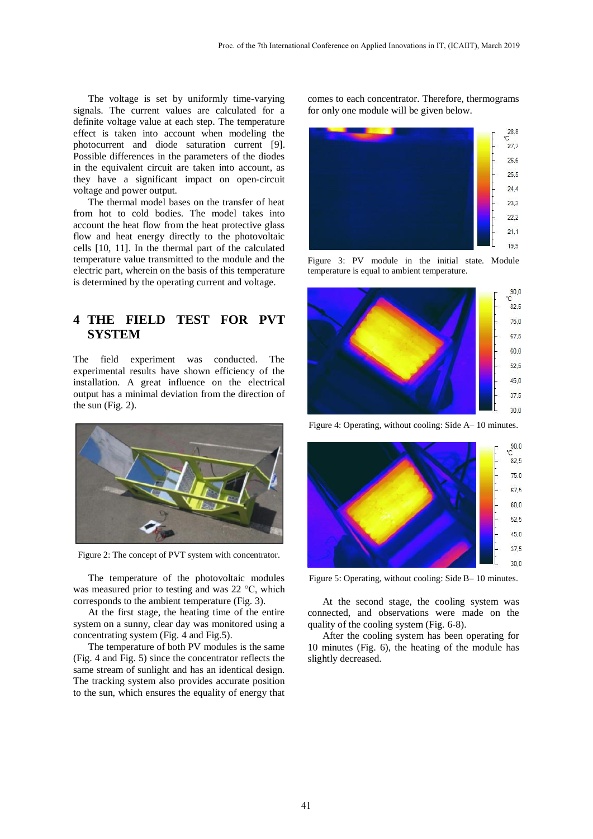The voltage is set by uniformly time-varying signals. The current values are calculated for a definite voltage value at each step. The temperature effect is taken into account when modeling the photocurrent and diode saturation current [9]. Possible differences in the parameters of the diodes in the equivalent circuit are taken into account, as they have a significant impact on open-circuit voltage and power output.

The thermal model bases on the transfer of heat from hot to cold bodies. The model takes into account the heat flow from the heat protective glass flow and heat energy directly to the photovoltaic cells [10, 11]. In the thermal part of the calculated temperature value transmitted to the module and the electric part, wherein on the basis of this temperature is determined by the operating current and voltage.

### **4 THE FIELD TEST FOR PVT SYSTEM**

The field experiment was conducted. The experimental results have shown efficiency of the installation. A great influence on the electrical output has a minimal deviation from the direction of the sun (Fig. 2).



Figure 2: The concept of PVT system with concentrator.

The temperature of the photovoltaic modules was measured prior to testing and was 22 °C, which corresponds to the ambient temperature (Fig. 3).

At the first stage, the heating time of the entire system on a sunny, clear day was monitored using a concentrating system (Fig. 4 and Fig.5).

The temperature of both PV modules is the same (Fig. 4 and Fig. 5) since the concentrator reflects the same stream of sunlight and has an identical design. The tracking system also provides accurate position to the sun, which ensures the equality of energy that

comes to each concentrator. Therefore, thermograms for only one module will be given below.



Figure 3: PV module in the initial state. Module temperature is equal to ambient temperature.



Figure 4: Operating, without cooling: Side A– 10 minutes.



Figure 5: Operating, without cooling: Side B– 10 minutes.

At the second stage, the cooling system was connected, and observations were made on the quality of the cooling system (Fig. 6-8).

After the cooling system has been operating for 10 minutes (Fig. 6), the heating of the module has slightly decreased.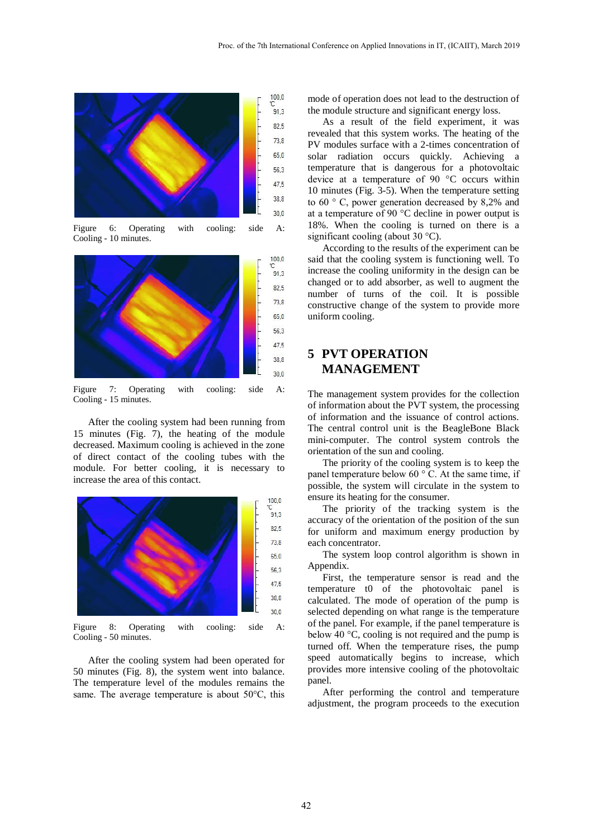![](_page_3_Figure_1.jpeg)

Figure 6: Operating with cooling: side A: Cooling - 10 minutes.

![](_page_3_Figure_3.jpeg)

Figure 7: Operating with cooling: side A: Cooling - 15 minutes.

After the cooling system had been running from 15 minutes (Fig. 7), the heating of the module decreased. Maximum cooling is achieved in the zone of direct contact of the cooling tubes with the module. For better cooling, it is necessary to increase the area of this contact.

![](_page_3_Figure_6.jpeg)

Figure 8: Operating with cooling: side A: Cooling - 50 minutes.

After the cooling system had been operated for 50 minutes (Fig. 8), the system went into balance. The temperature level of the modules remains the same. The average temperature is about 50°C, this mode of operation does not lead to the destruction of the module structure and significant energy loss.

As a result of the field experiment, it was revealed that this system works. The heating of the PV modules surface with a 2-times concentration of solar radiation occurs quickly. Achieving a temperature that is dangerous for a photovoltaic device at a temperature of 90 °C occurs within 10 minutes (Fig. 3-5). When the temperature setting to 60 ° C, power generation decreased by 8,2% and at a temperature of 90 °C decline in power output is 18%. When the cooling is turned on there is a significant cooling (about 30 °C).

According to the results of the experiment can be said that the cooling system is functioning well. To increase the cooling uniformity in the design can be changed or to add absorber, as well to augment the number of turns of the coil. It is possible constructive change of the system to provide more uniform cooling.

### **5 PVT OPERATION MANAGEMENT**

The management system provides for the collection of information about the PVT system, the processing of information and the issuance of control actions. The central control unit is the BeagleBone Black mini-computer. The control system controls the orientation of the sun and cooling.

The priority of the cooling system is to keep the panel temperature below 60 $\degree$  C. At the same time, if possible, the system will circulate in the system to ensure its heating for the consumer.

The priority of the tracking system is the accuracy of the orientation of the position of the sun for uniform and maximum energy production by each concentrator.

The system loop control algorithm is shown in Appendix.

First, the temperature sensor is read and the temperature t0 of the photovoltaic panel is calculated. The mode of operation of the pump is selected depending on what range is the temperature of the panel. For example, if the panel temperature is below 40 °C, cooling is not required and the pump is turned off. When the temperature rises, the pump speed automatically begins to increase, which provides more intensive cooling of the photovoltaic panel.

After performing the control and temperature adjustment, the program proceeds to the execution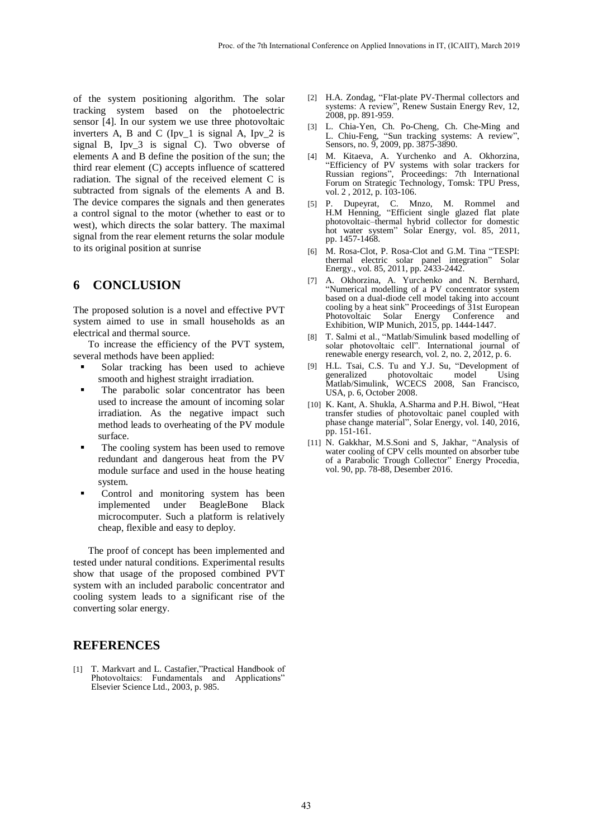of the system positioning algorithm. The solar tracking system based on the photoelectric sensor [4]. In our system we use three photovoltaic inverters A, B and C (Ipv $\_1$  is signal A, Ipv $\_2$  is signal B, Ipv\_3 is signal C). Two obverse of elements A and B define the position of the sun; the third rear element (C) accepts influence of scattered radiation. The signal of the received element C is subtracted from signals of the elements A and B. The device compares the signals and then generates a control signal to the motor (whether to east or to west), which directs the solar battery. The maximal signal from the rear element returns the solar module to its original position at sunrise

#### **6 CONCLUSION**

The proposed solution is a novel and effective PVT system aimed to use in small households as an electrical and thermal source.

To increase the efficiency of the PVT system, several methods have been applied:

- Solar tracking has been used to achieve smooth and highest straight irradiation.
- The parabolic solar concentrator has been used to increase the amount of incoming solar irradiation. As the negative impact such method leads to overheating of the PV module surface.
- The cooling system has been used to remove redundant and dangerous heat from the PV module surface and used in the house heating system.
- Control and monitoring system has been implemented under BeagleBone Black microcomputer. Such a platform is relatively cheap, flexible and easy to deploy.

The proof of concept has been implemented and tested under natural conditions. Experimental results show that usage of the proposed combined PVT system with an included parabolic concentrator and cooling system leads to a significant rise of the converting solar energy.

#### **REFERENCES**

[1] T. Markvart and L. Castafier,"Practical Handbook of Photovoltaics: Fundamentals and Applications" Elsevier Science Ltd., 2003, p. 985.

- [2] H.A. Zondag, "Flat-plate PV-Thermal collectors and systems: A review", Renew Sustain Energy Rev, 12, 2008, pp. 891-959.
- [3] L. Chia-Yen, Ch. Po-Cheng, Ch. Che-Ming and L. Chiu-Feng, "Sun tracking systems: A review", Sensors, no. 9, 2009, pp. 3875-3890.
- [4] M. Kitaeva, A. Yurchenko and A. Okhorzina, "Efficiency of PV systems with solar trackers for Russian regions", Proceedings: 7th International Forum on Strategic Technology, Tomsk: TPU Press, vol. 2, 2012, p. 103-106.
- [5] P. Dupeyrat, C. Mnzo, M. Rommel and H.M Henning, "Efficient single glazed flat plate photovoltaic–thermal hybrid collector for domestic hot water system" Solar Energy, vol. 85, 2011, pp. 1457-1468.
- [6] M. Rosa-Clot, P. Rosa-Clot and G.M. Tina "TESPI: thermal electric solar panel integration" Solar Energy., vol. 85, 2011, pp. 2433-2442.
- [7] A. Okhorzina, A. Yurchenko and N. Bernhard, "Numerical modelling of a PV concentrator system based on a dual-diode cell model taking into account cooling by a heat sink" Proceedings of 31st European Photovoltaic Solar Energy Conference and Exhibition, WIP Munich, 2015, pp. 1444-1447.
- [8] T. Salmi et al., "Matlab/Simulink based modelling of solar photovoltaic cell". International journal of renewable energy research, vol. 2, no. 2, 2012, p. 6.
- [9] H.L. Tsai, C.S. Tu and Y.J. Su, "Development of generalized photovoltaic model Using Matlab/Simulink, WCECS 2008, San Francisco, USA, p. 6, October 2008.
- [10] K. Kant, A. Shukla, A.Sharma and P.H. Biwol, "Heat transfer studies of photovoltaic panel coupled with phase change material", Solar Energy, vol. 140, 2016, pp. 151-161.
- [11] N. Gakkhar, M.S.Soni and S, Jakhar, "Analysis of water cooling of CPV cells mounted on absorber tube of a Parabolic Trough Collector" Energy Procedia, vol. 90, pp. 78-88, Desember 2016.